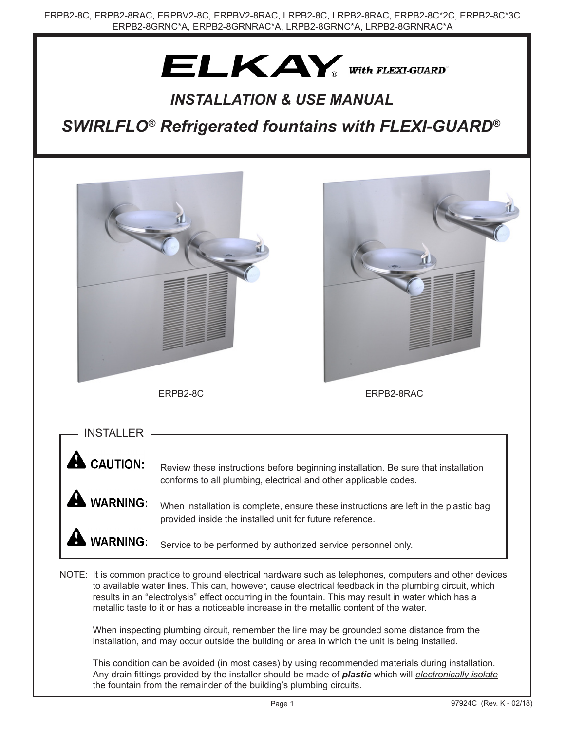# $ELKAY_{\tiny{\textcircled{\tiny{With FLEXI-GUARD}}}}$

### *INSTALLATION & USE MANUAL*

*SWIRLFLO® Refrigerated fountains with FLEXI-GUARD®*



Any drain fittings provided by the installer should be made of *plastic* which will *electronically isolate* the fountain from the remainder of the building's plumbing circuits.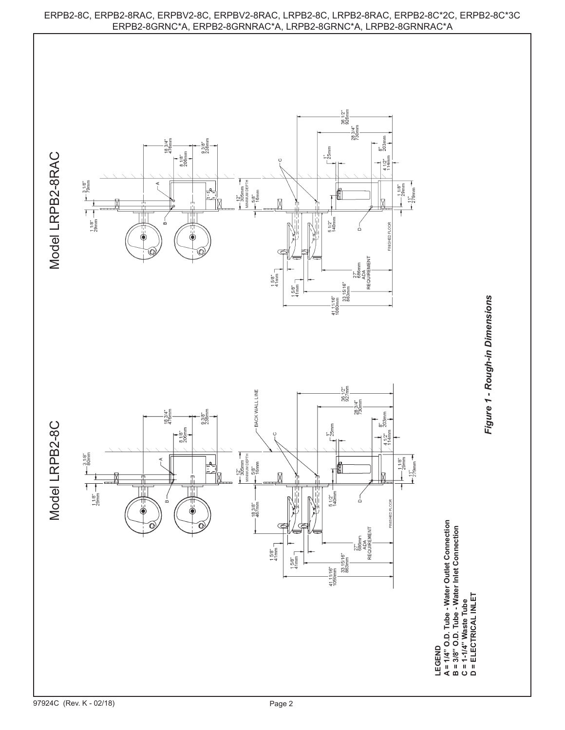

## ERPB2-8C, ERPB2-8RAC, ERPBV2-8C, ERPBV2-8RAC, LRPB2-8C, LRPB2-8RAC, ERPB2-8C\*2C, ERPB2-8C\*3C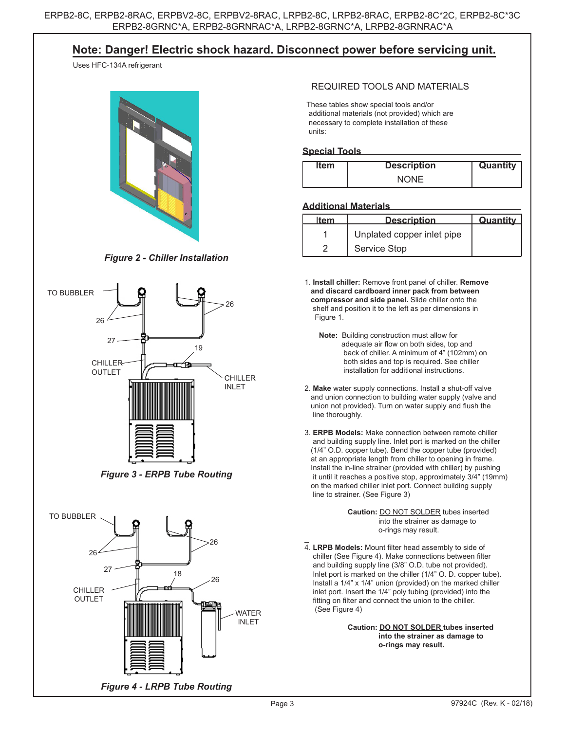### **Note: Danger! Electric shock hazard. Disconnect power before servicing unit.**

Uses HFC-134A refrigerant



*Figure 2 - Chiller Installation*



*Figure 3 - ERPB Tube Routing*



#### REQUIRED TOOLS AND MATERIALS

 These tables show special tools and/or additional materials (not provided) which are necessary to complete installation of these units:

#### **Special Tools**

| <b>Item</b> | <b>Description</b> | Quantity |
|-------------|--------------------|----------|
|             | <b>NONE</b>        |          |

#### **Additional Materials**

| ltem | <b>Description</b>         | Quantity |
|------|----------------------------|----------|
|      | Unplated copper inlet pipe |          |
|      | <b>Service Stop</b>        |          |

 1. **Install chiller:** Remove front panel of chiller. **Remove and discard cardboard inner pack from between compressor and side panel.** Slide chiller onto the shelf and position it to the left as per dimensions in Figure 1.

- **Note:** Building construction must allow for adequate air flow on both sides, top and back of chiller. A minimum of 4" (102mm) on both sides and top is required. See chiller installation for additional instructions.
- 2. **Make** water supply connections. Install a shut-off valve and union connection to building water supply (valve and union not provided). Turn on water supply and flush the line thoroughly.
- 3. **ERPB Models:** Make connection between remote chiller and building supply line. Inlet port is marked on the chiller (1/4" O.D. copper tube). Bend the copper tube (provided) at an appropriate length from chiller to opening in frame. Install the in-line strainer (provided with chiller) by pushing it until it reaches a positive stop, approximately 3/4" (19mm) on the marked chiller inlet port. Connect building supply line to strainer. (See Figure 3)

 **Caution:** DO NOT SOLDER tubes inserted into the strainer as damage to o-rings may result.

 $\overline{a}$  4. **LRPB Models:** Mount filter head assembly to side of chiller (See Figure 4). Make connections between filter and building supply line (3/8" O.D. tube not provided). Inlet port is marked on the chiller (1/4" O. D. copper tube). Install a 1/4" x 1/4" union (provided) on the marked chiller inlet port. Insert the 1/4" poly tubing (provided) into the fitting on filter and connect the union to the chiller. (See Figure 4)

> **Caution: DO NOT SOLDER tubes inserted into the strainer as damage to o-rings may result.**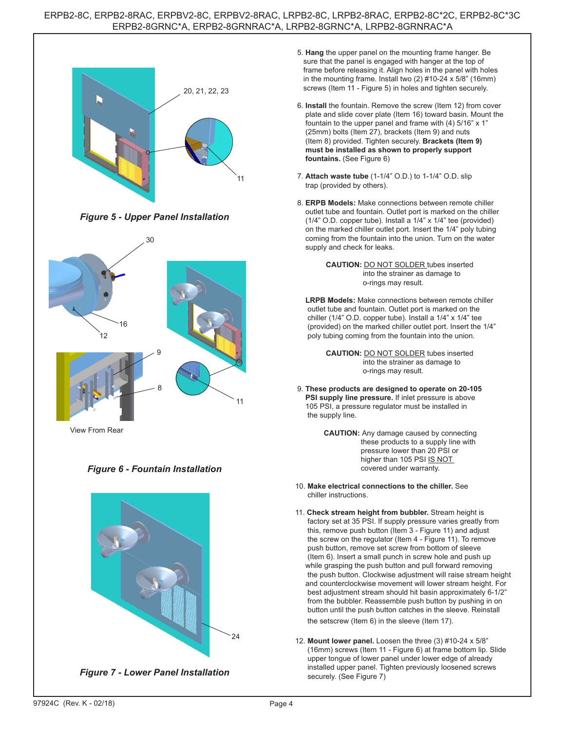

*Figure 5 - Upper Panel Installation*



View From Rear

#### *Figure 6 - Fountain Installation*



*Figure 7 - Lower Panel Installation*

- 5. **Hang** the upper panel on the mounting frame hanger. Be sure that the panel is engaged with hanger at the top of frame before releasing it. Align holes in the panel with holes in the mounting frame. Install two (2) #10-24 x 5/8" (16mm) screws (Item 11 - Figure 5) in holes and tighten securely.
- 6. **Install** the fountain. Remove the screw (Item 12) from cover plate and slide cover plate (Item 16) toward basin. Mount the fountain to the upper panel and frame with (4) 5/16" x 1" (25mm) bolts (Item 27), brackets (Item 9) and nuts (Item 8) provided. Tighten securely. **Brackets (Item 9) must be installed as shown to properly support fountains.** (See Figure 6)
- 7. **Attach waste tube** (1-1/4" O.D.) to 1-1/4" O.D. slip trap (provided by others).
- 8. **ERPB Models:** Make connections between remote chiller outlet tube and fountain. Outlet port is marked on the chiller (1/4" O.D. copper tube). Install a 1/4" x 1/4" tee (provided) on the marked chiller outlet port. Insert the 1/4" poly tubing coming from the fountain into the union. Turn on the water supply and check for leaks.



 **LRPB Models:** Make connections between remote chiller outlet tube and fountain. Outlet port is marked on the chiller (1/4" O.D. copper tube). Install a 1/4" x 1/4" tee (provided) on the marked chiller outlet port. Insert the 1/4" poly tubing coming from the fountain into the union.

> **CAUTION:** DO NOT SOLDER tubes inserted into the strainer as damage to o-rings may result.

- 9. **These products are designed to operate on 20-105 PSI supply line pressure.** If inlet pressure is above 105 PSI, a pressure regulator must be installed in the supply line.
	- **CAUTION:** Any damage caused by connecting these products to a supply line with pressure lower than 20 PSI or higher than 105 PSI IS NOT covered under warranty.
- 10. **Make electrical connections to the chiller.** See chiller instructions.
- 11. **Check stream height from bubbler.** Stream height is factory set at 35 PSI. If supply pressure varies greatly from this, remove push button (Item 3 - Figure 11) and adjust the screw on the regulator (Item 4 - Figure 11). To remove push button, remove set screw from bottom of sleeve (Item 6). Insert a small punch in screw hole and push up while grasping the push button and pull forward removing the push button. Clockwise adjustment will raise stream height and counterclockwise movement will lower stream height. For best adjustment stream should hit basin approximately 6-1/2" from the bubbler. Reassemble push button by pushing in on button until the push button catches in the sleeve. Reinstall the setscrew (Item 6) in the sleeve (Item 17).
- 12. **Mount lower panel.** Loosen the three (3) #10-24 x 5/8" (16mm) screws (Item 11 - Figure 6) at frame bottom lip. Slide upper tongue of lower panel under lower edge of already installed upper panel. Tighten previously loosened screws securely. (See Figure 7)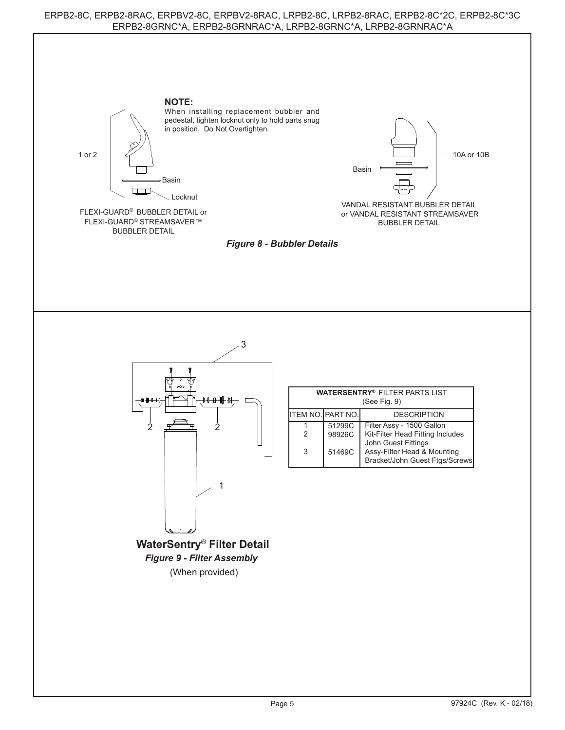#### ERPB2-8C, ERPB2-8RAC, ERPBV2-8C, ERPBV2-8RAC, LRPB2-8C, LRPB2-8RAC, ERPB2-8C\*2C, ERPB2-8C\*3C ERPB2-8GRNC\*A, ERPB2-8GRNRAC\*A, LRPB2-8GRNC\*A, LRPB2-8GRNRAC\*A

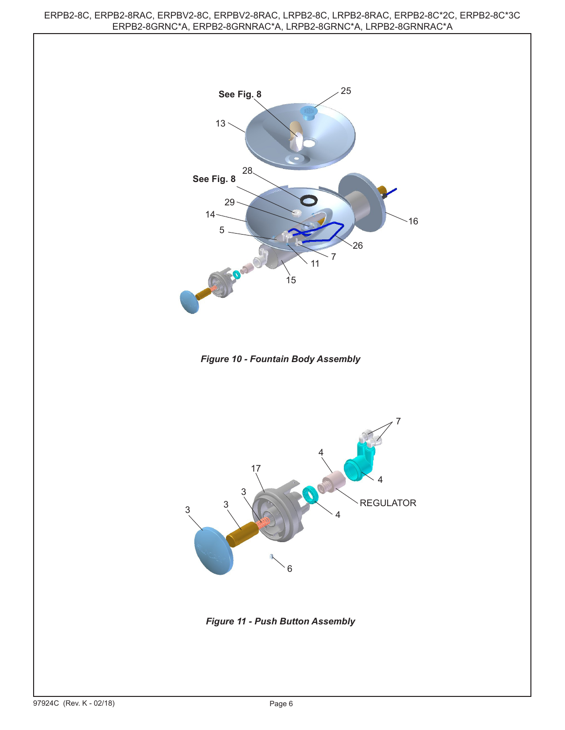ERPB2-8C, ERPB2-8RAC, ERPBV2-8C, ERPBV2-8RAC, LRPB2-8C, LRPB2-8RAC, ERPB2-8C\*2C, ERPB2-8C\*3C ERPB2-8GRNC\*A, ERPB2-8GRNRAC\*A, LRPB2-8GRNC\*A, LRPB2-8GRNRAC\*A



*Figure 10 - Fountain Body Assembly*



*Figure 11 - Push Button Assembly*